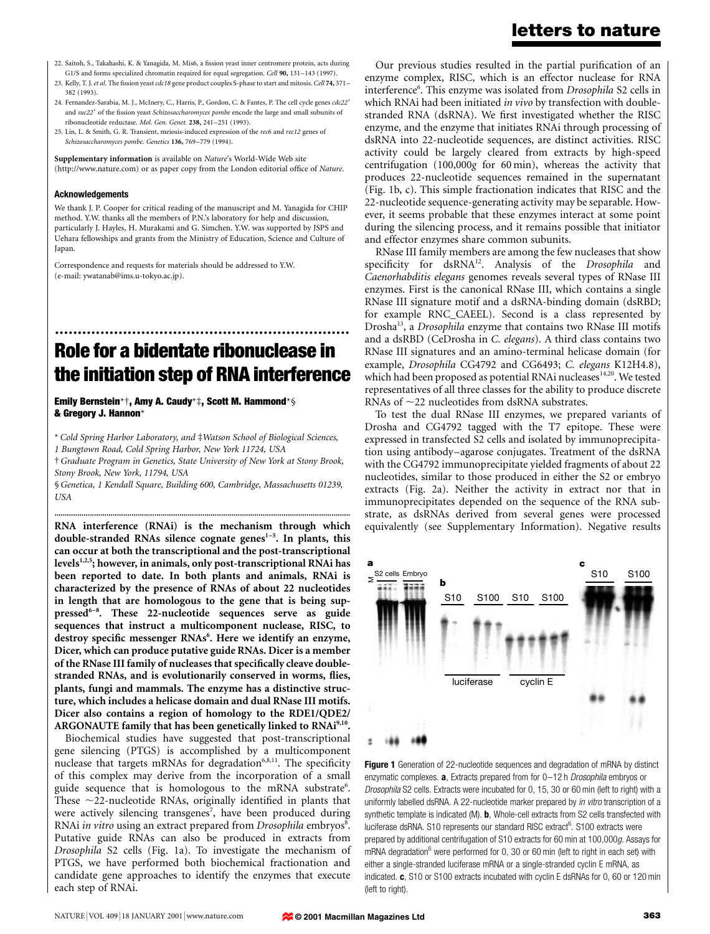- 22. Saitoh, S., Takahashi, K. & Yanagida, M. Mis6, a fission yeast inner centromere protein, acts during G1/S and forms specialized chromatin required for equal segregation. Cell 90, 131-143 (1997).
- 23. Kelly, T. J. et al. The fission yeast cdc18 gene product couples S-phase to start and mitosis. Cell 74, 371-382 (1993).
- 24. Fernandez-Sarabia, M. J., McInery, C., Harris, P., Gordon, C. & Fantes, P. The cell cycle genes  $cdc22^+$ and suc22<sup>+</sup> of the fission yeast Schizosaccharomyces pombe encode the large and small subunits of ribonucleotide reductase. Mol. Gen. Genet. 238, 241-251 (1993).
- 25. Lin, L. & Smith, G. R. Transient, meiosis-induced expression of the rec6 and rec12 genes of Schizosaccharomyces pombe. Genetics 136, 769-779 (1994).

Supplementary information is available on Nature's World-Wide Web site (http://www.nature.com) or as paper copy from the London editorial office of Nature.

#### Acknowledgements

We thank J. P. Cooper for critical reading of the manuscript and M. Yanagida for CHIP method. Y.W. thanks all the members of P.N.'s laboratory for help and discussion, particularly J. Hayles, H. Murakami and G. Simchen. Y.W. was supported by JSPS and Uehara fellowships and grants from the Ministry of Education, Science and Culture of Japan.

Correspondence and requests for materials should be addressed to Y.W. (e-mail: ywatanab@ims.u-tokyo.ac.jp).

## Role for a bidentate ribonuclease in the initiation step of RNA interference

.................................................................

Emily Bernstein\*†, Amy A. Caudy\*‡, Scott M. Hammond\*§ & Gregory J. Hannon\*

\* Cold Spring Harbor Laboratory, and #Watson School of Biological Sciences, 1 Bungtown Road, Cold Spring Harbor, New York 11724, USA

²Graduate Program in Genetics, State University of New York at Stony Brook, Stony Brook, New York, 11794, USA

§Genetica, 1 Kendall Square, Building 600, Cambridge, Massachusetts 01239, **USA** 

.............................................................................................................................................. RNA interference (RNAi) is the mechanism through which double-stranded RNAs silence cognate genes<sup>1-5</sup>. In plants, this can occur at both the transcriptional and the post-transcriptional levels $1,2,5$ ; however, in animals, only post-transcriptional RNAi has been reported to date. In both plants and animals, RNAi is characterized by the presence of RNAs of about 22 nucleotides in length that are homologous to the gene that is being suppressed $6-8$ . These 22-nucleotide sequences serve as guide sequences that instruct a multicomponent nuclease, RISC, to destroy specific messenger RNAs<sup>6</sup>. Here we identify an enzyme, Dicer, which can produce putative guide RNAs. Dicer is a member of the RNase III family of nucleases that specifically cleave doublestranded RNAs, and is evolutionarily conserved in worms, flies, plants, fungi and mammals. The enzyme has a distinctive structure, which includes a helicase domain and dual RNase III motifs. Dicer also contains a region of homology to the RDE1/QDE2/ ARGONAUTE family that has been genetically linked to RNAi9,10.

Biochemical studies have suggested that post-transcriptional gene silencing (PTGS) is accomplished by a multicomponent nuclease that targets mRNAs for degradation<sup>6,8,11</sup>. The specificity of this complex may derive from the incorporation of a small guide sequence that is homologous to the mRNA substrate<sup>6</sup>. These  $\sim$ 22-nucleotide RNAs, originally identified in plants that were actively silencing transgenes<sup>7</sup>, have been produced during RNAi in vitro using an extract prepared from Drosophila embryos8. Putative guide RNAs can also be produced in extracts from Drosophila S2 cells (Fig. 1a). To investigate the mechanism of PTGS, we have performed both biochemical fractionation and candidate gene approaches to identify the enzymes that execute each step of RNAi.

### letters to nature

Our previous studies resulted in the partial purification of an enzyme complex, RISC, which is an effector nuclease for RNA interference<sup>6</sup>. This enzyme was isolated from Drosophila S2 cells in which RNAi had been initiated in vivo by transfection with doublestranded RNA (dsRNA). We first investigated whether the RISC enzyme, and the enzyme that initiates RNAi through processing of dsRNA into 22-nucleotide sequences, are distinct activities. RISC activity could be largely cleared from extracts by high-speed centrifugation (100,000g for 60 min), whereas the activity that produces 22-nucleotide sequences remained in the supernatant (Fig. 1b, c). This simple fractionation indicates that RISC and the 22-nucleotide sequence-generating activity may be separable. However, it seems probable that these enzymes interact at some point during the silencing process, and it remains possible that initiator and effector enzymes share common subunits.

RNase III family members are among the few nucleases that show specificity for dsRNA<sup>12</sup>. Analysis of the Drosophila and Caenorhabditis elegans genomes reveals several types of RNase III enzymes. First is the canonical RNase III, which contains a single RNase III signature motif and a dsRNA-binding domain (dsRBD; for example RNC\_CAEEL). Second is a class represented by Drosha<sup>13</sup>, a *Drosophila* enzyme that contains two RNase III motifs and a dsRBD (CeDrosha in C. elegans). A third class contains two RNase III signatures and an amino-terminal helicase domain (for example, Drosophila CG4792 and CG6493; C. elegans K12H4.8), which had been proposed as potential RNAi nucleases<sup>14,20</sup>. We tested representatives of all three classes for the ability to produce discrete RNAs of  $\sim$ 22 nucleotides from dsRNA substrates.

To test the dual RNase III enzymes, we prepared variants of Drosha and CG4792 tagged with the T7 epitope. These were expressed in transfected S2 cells and isolated by immunoprecipitation using antibody-agarose conjugates. Treatment of the dsRNA with the CG4792 immunoprecipitate yielded fragments of about 22 nucleotides, similar to those produced in either the S2 or embryo extracts (Fig. 2a). Neither the activity in extract nor that in immunoprecipitates depended on the sequence of the RNA substrate, as dsRNAs derived from several genes were processed equivalently (see Supplementary Information). Negative results



Figure 1 Generation of 22-nucleotide sequences and degradation of mRNA by distinct enzymatic complexes.  $a$ , Extracts prepared from for  $0-12$  h *Drosophila* embryos or Drosophila S2 cells. Extracts were incubated for 0, 15, 30 or 60 min (left to right) with a uniformly labelled dsRNA. A 22-nucleotide marker prepared by in vitro transcription of a synthetic template is indicated (M). **b**, Whole-cell extracts from S2 cells transfected with luciferase dsRNA. S10 represents our standard RISC extract<sup>6</sup>. S100 extracts were prepared by additional centrifugation of S10 extracts for 60 min at 100,000g. Assays for mRNA degradation $^6$  were performed for 0, 30 or 60 min (left to right in each set) with either a single-stranded luciferase mRNA or a single-stranded cyclin E mRNA, as indicated. c, S10 or S100 extracts incubated with cyclin E dsRNAs for 0, 60 or 120 min (left to right).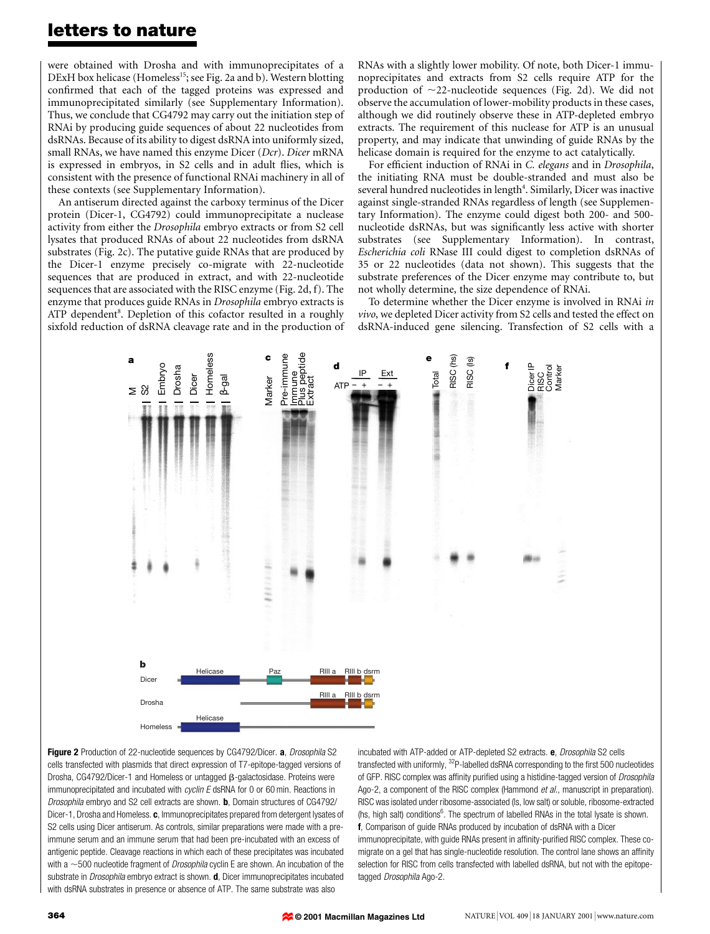### letters to nature

were obtained with Drosha and with immunoprecipitates of a DExH box helicase (Homeless<sup>15</sup>; see Fig. 2a and b). Western blotting confirmed that each of the tagged proteins was expressed and immunoprecipitated similarly (see Supplementary Information). Thus, we conclude that CG4792 may carry out the initiation step of RNAi by producing guide sequences of about 22 nucleotides from dsRNAs. Because of its ability to digest dsRNA into uniformly sized, small RNAs, we have named this enzyme Dicer (Dcr). Dicer mRNA is expressed in embryos, in S2 cells and in adult flies, which is consistent with the presence of functional RNAi machinery in all of these contexts (see Supplementary Information).

An antiserum directed against the carboxy terminus of the Dicer protein (Dicer-1, CG4792) could immunoprecipitate a nuclease activity from either the Drosophila embryo extracts or from S2 cell lysates that produced RNAs of about 22 nucleotides from dsRNA substrates (Fig. 2c). The putative guide RNAs that are produced by the Dicer-1 enzyme precisely co-migrate with 22-nucleotide sequences that are produced in extract, and with 22-nucleotide sequences that are associated with the RISC enzyme (Fig. 2d, f). The enzyme that produces guide RNAs in Drosophila embryo extracts is ATP dependent<sup>8</sup>. Depletion of this cofactor resulted in a roughly sixfold reduction of dsRNA cleavage rate and in the production of RNAs with a slightly lower mobility. Of note, both Dicer-1 immunoprecipitates and extracts from S2 cells require ATP for the production of  $\sim$ 22-nucleotide sequences (Fig. 2d). We did not observe the accumulation of lower-mobility products in these cases, although we did routinely observe these in ATP-depleted embryo extracts. The requirement of this nuclease for ATP is an unusual property, and may indicate that unwinding of guide RNAs by the helicase domain is required for the enzyme to act catalytically.

For efficient induction of RNAi in C. elegans and in Drosophila, the initiating RNA must be double-stranded and must also be several hundred nucleotides in length<sup>4</sup>. Similarly, Dicer was inactive against single-stranded RNAs regardless of length (see Supplementary Information). The enzyme could digest both 200- and 500 nucleotide dsRNAs, but was significantly less active with shorter substrates (see Supplementary Information). In contrast, Escherichia coli RNase III could digest to completion dsRNAs of 35 or 22 nucleotides (data not shown). This suggests that the substrate preferences of the Dicer enzyme may contribute to, but not wholly determine, the size dependence of RNAi.

To determine whether the Dicer enzyme is involved in RNAi in vivo, we depleted Dicer activity from S2 cells and tested the effect on dsRNA-induced gene silencing. Transfection of S2 cells with a



Figure 2 Production of 22-nucleotide sequences by CG4792/Dicer. a, Drosophila S2 cells transfected with plasmids that direct expression of T7-epitope-tagged versions of Drosha, CG4792/Dicer-1 and Homeless or untagged  $\beta$ -galactosidase. Proteins were immunoprecipitated and incubated with cyclin E dsRNA for 0 or 60 min. Reactions in Drosophila embryo and S2 cell extracts are shown. **b**, Domain structures of CG4792/ Dicer-1, Drosha and Homeless. c, Immunoprecipitates prepared from detergent lysates of S2 cells using Dicer antiserum. As controls, similar preparations were made with a preimmune serum and an immune serum that had been pre-incubated with an excess of antigenic peptide. Cleavage reactions in which each of these precipitates was incubated with a  $\sim$ 500 nucleotide fragment of *Drosophila* cyclin E are shown. An incubation of the substrate in *Drosophila* embryo extract is shown. **d**, Dicer immunoprecipitates incubated with dsRNA substrates in presence or absence of ATP. The same substrate was also

incubated with ATP-added or ATP-depleted S2 extracts. e, Drosophila S2 cells transfected with uniformly,  $3^{2}P$ -labelled dsRNA corresponding to the first 500 nucleotides of GFP. RISC complex was affinity purified using a histidine-tagged version of Drosophila Ago-2, a component of the RISC complex (Hammond et al., manuscript in preparation). RISC was isolated under ribosome-associated (ls, low salt) or soluble, ribosome-extracted (hs, high salt) conditions<sup>6</sup>. The spectrum of labelled RNAs in the total lysate is shown. f, Comparison of guide RNAs produced by incubation of dsRNA with a Dicer immunoprecipitate, with guide RNAs present in affinity-purified RISC complex. These comigrate on a gel that has single-nucleotide resolution. The control lane shows an affinity selection for RISC from cells transfected with labelled dsRNA, but not with the epitopetagged Drosophila Ago-2.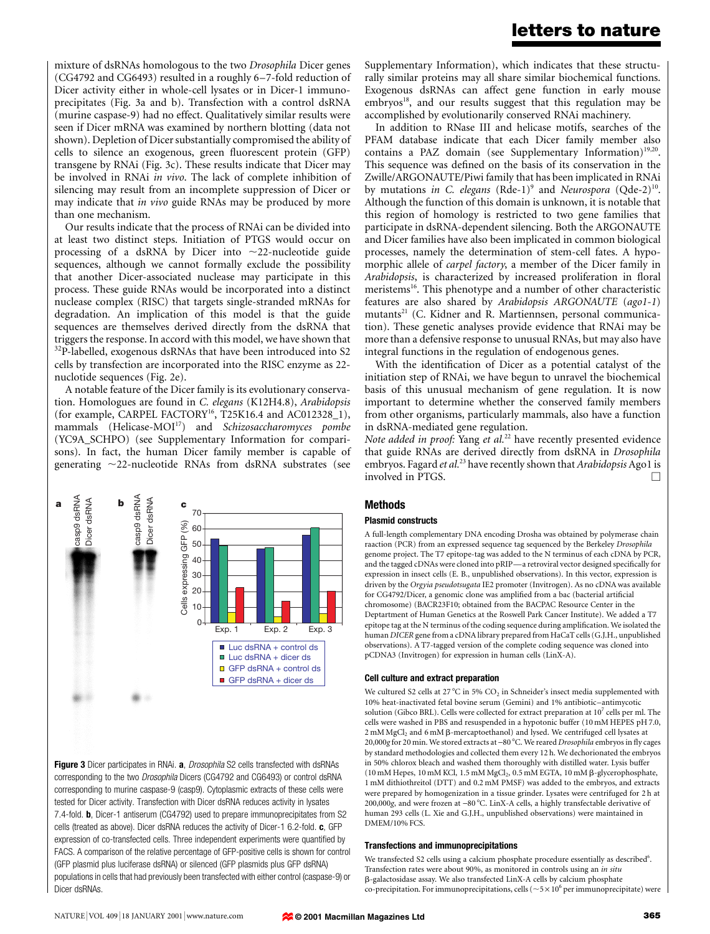### letters to nature

mixture of dsRNAs homologous to the two Drosophila Dicer genes (CG4792 and CG6493) resulted in a roughly 6-7-fold reduction of Dicer activity either in whole-cell lysates or in Dicer-1 immunoprecipitates (Fig. 3a and b). Transfection with a control dsRNA (murine caspase-9) had no effect. Qualitatively similar results were seen if Dicer mRNA was examined by northern blotting (data not shown). Depletion of Dicer substantially compromised the ability of cells to silence an exogenous, green fluorescent protein (GFP) transgene by RNAi (Fig. 3c). These results indicate that Dicer may be involved in RNAi in vivo. The lack of complete inhibition of silencing may result from an incomplete suppression of Dicer or may indicate that in vivo guide RNAs may be produced by more than one mechanism.

Our results indicate that the process of RNAi can be divided into at least two distinct steps. Initiation of PTGS would occur on processing of a dsRNA by Dicer into  $\sim$ 22-nucleotide guide sequences, although we cannot formally exclude the possibility that another Dicer-associated nuclease may participate in this process. These guide RNAs would be incorporated into a distinct nuclease complex (RISC) that targets single-stranded mRNAs for degradation. An implication of this model is that the guide sequences are themselves derived directly from the dsRNA that triggers the response. In accord with this model, we have shown that  $32P$ -labelled, exogenous dsRNAs that have been introduced into S2 cells by transfection are incorporated into the RISC enzyme as 22 nuclotide sequences (Fig. 2e).

A notable feature of the Dicer family is its evolutionary conservation. Homologues are found in C. elegans (K12H4.8), Arabidopsis (for example, CARPEL FACTORY<sup>16</sup>, T25K16.4 and AC012328 $\_1$ ), mammals  $(Helicase-MOI<sup>17</sup>)$  and Schizosaccharomyces pombe (YC9A\_SCHPO) (see Supplementary Information for comparisons). In fact, the human Dicer family member is capable of generating  $\sim$ 22-nucleotide RNAs from dsRNA substrates (see



Figure 3 Dicer participates in RNAi. a, Drosophila S2 cells transfected with dsRNAs corresponding to the two Drosophila Dicers (CG4792 and CG6493) or control dsRNA corresponding to murine caspase-9 (casp9). Cytoplasmic extracts of these cells were tested for Dicer activity. Transfection with Dicer dsRNA reduces activity in lysates 7.4-fold. b, Dicer-1 antiserum (CG4792) used to prepare immunoprecipitates from S2 cells (treated as above). Dicer dsRNA reduces the activity of Dicer-1 6.2-fold. c, GFP expression of co-transfected cells. Three independent experiments were quantified by FACS. A comparison of the relative percentage of GFP-positive cells is shown for control (GFP plasmid plus luciferase dsRNA) or silenced (GFP plasmids plus GFP dsRNA) populations in cells that had previously been transfected with either control (caspase-9) or Dicer dsRNAs.

Supplementary Information), which indicates that these structurally similar proteins may all share similar biochemical functions. Exogenous dsRNAs can affect gene function in early mouse embryos<sup>18</sup>, and our results suggest that this regulation may be accomplished by evolutionarily conserved RNAi machinery.

In addition to RNase III and helicase motifs, searches of the PFAM database indicate that each Dicer family member also contains a PAZ domain (see Supplementary Information)<sup>19,20</sup>. This sequence was defined on the basis of its conservation in the Zwille/ARGONAUTE/Piwi family that has been implicated in RNAi by mutations in C. elegans (Rde-1)<sup>9</sup> and Neurospora (Qde-2)<sup>10</sup>. Although the function of this domain is unknown, it is notable that this region of homology is restricted to two gene families that participate in dsRNA-dependent silencing. Both the ARGONAUTE and Dicer families have also been implicated in common biological processes, namely the determination of stem-cell fates. A hypomorphic allele of carpel factory, a member of the Dicer family in Arabidopsis, is characterized by increased proliferation in floral meristems<sup>16</sup>. This phenotype and a number of other characteristic features are also shared by Arabidopsis ARGONAUTE (ago1-1) mutants<sup>21</sup> (C. Kidner and R. Martiennsen, personal communication). These genetic analyses provide evidence that RNAi may be more than a defensive response to unusual RNAs, but may also have integral functions in the regulation of endogenous genes.

With the identification of Dicer as a potential catalyst of the initiation step of RNAi, we have begun to unravel the biochemical basis of this unusual mechanism of gene regulation. It is now important to determine whether the conserved family members from other organisms, particularly mammals, also have a function in dsRNA-mediated gene regulation.

Note added in proof: Yang et al.<sup>22</sup> have recently presented evidence that guide RNAs are derived directly from dsRNA in Drosophila embryos. Fagard et al.<sup>23</sup> have recently shown that Arabidopsis Ago1 is involved in PTGS.  $\Box$ 

### Methods

#### Plasmid constructs

A full-length complementary DNA encoding Drosha was obtained by polymerase chain raaction (PCR) from an expressed sequence tag sequenced by the Berkeley Drosophila genome project. The T7 epitope-tag was added to the N terminus of each cDNA by PCR, and the tagged cDNAs were cloned into pRIP—a retroviral vector designed specifically for expression in insect cells (E. B., unpublished observations). In this vector, expression is driven by the Orgyia pseudotsugata IE2 promoter (Invitrogen). As no cDNA was available for CG4792/Dicer, a genomic clone was amplified from a bac (bacterial artificial chromosome) (BACR23F10; obtained from the BACPAC Resource Center in the Deptartment of Human Genetics at the Roswell Park Cancer Institute). We added a T7 epitope tag at the N terminus of the coding sequence during amplification. We isolated the human DICER gene from a cDNA library prepared from HaCaT cells (G.J.H., unpublished observations). A T7-tagged version of the complete coding sequence was cloned into pCDNA3 (Invitrogen) for expression in human cells (LinX-A).

#### Cell culture and extract preparation

We cultured S2 cells at 27 °C in 5%  $CO<sub>2</sub>$  in Schneider's insect media supplemented with 10% heat-inactivated fetal bovine serum (Gemini) and 1% antibiotic-antimycotic solution (Gibco BRL). Cells were collected for extract preparation at  $10^7$  cells per ml. The cells were washed in PBS and resuspended in a hypotonic buffer (10 mM HEPES pH 7.0,  $2 \text{ mM MgCl}_2$  and 6 mM  $\beta$ -mercaptoethanol) and lysed. We centrifuged cell lysates at 20,000g for 20 min. We stored extracts at  $-80$  °C. We reared Drosophila embryos in fly cages by standard methodologies and collected them every 12 h. We dechorionated the embryos in 50% chlorox bleach and washed them thoroughly with distilled water. Lysis buffer (10 mM Hepes, 10 mM KCl, 1.5 mM  $MgCl<sub>2</sub>$ , 0.5 mM EGTA, 10 mM  $\beta$ -glycerophosphate, 1 mM dithiothreitol (DTT) and 0.2 mM PMSF) was added to the embryos, and extracts were prepared by homogenization in a tissue grinder. Lysates were centrifuged for 2 h at 200,000g, and were frozen at  $-80^{\circ}$ C. LinX-A cells, a highly transfectable derivative of human 293 cells (L. Xie and G.J.H., unpublished observations) were maintained in DMEM/10% FCS.

#### Transfections and immunoprecipitations

We transfected S2 cells using a calcium phosphate procedure essentially as described<sup>6</sup>. Transfection rates were about 90%, as monitored in controls using an in situ b-galactosidase assay. We also transfected LinX-A cells by calcium phosphate co-precipitation. For immunoprecipitations, cells ( $\sim$  5  $\times$  10<sup>6</sup> per immunoprecipitate) were